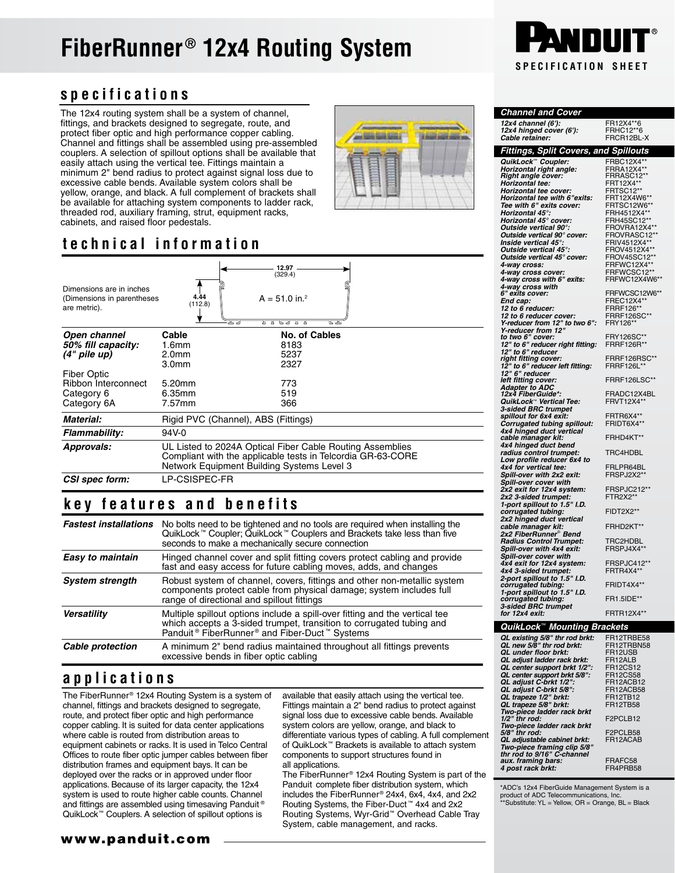# **FiberRunner® 12x4 Routing System**

#### **specifications**

The 12x4 routing system shall be a system of channel, fittings, and brackets designed to segregate, route, and protect fiber optic and high performance copper cabling. Channel and fittings shall be assembled using pre-assembled couplers. A selection of spillout options shall be available that easily attach using the vertical tee. Fittings maintain a minimum 2" bend radius to protect against signal loss due to excessive cable bends. Available system colors shall be yellow, orange, and black. A full complement of brackets shall be available for attaching system components to ladder rack, threaded rod, auxiliary framing, strut, equipment racks, cabinets, and raised floor pedestals.

### **technical information**

| Dimensions are in inches<br>(Dimensions in parentheses<br>are metric). | 4.44<br>(112.8)<br>고도기                                                                                                                                                 | 12.97<br>(329.4)<br>$A = 51.0$ in. <sup>2</sup><br>ਿਤਾ<br>ᅲ<br>ᡳ<br>75 |  |
|------------------------------------------------------------------------|------------------------------------------------------------------------------------------------------------------------------------------------------------------------|------------------------------------------------------------------------|--|
| Open channel                                                           | Cable                                                                                                                                                                  | No. of Cables                                                          |  |
| 50% fill capacity:                                                     | 1.6 <sub>mm</sub>                                                                                                                                                      | 8183                                                                   |  |
| $(4"$ pile up)                                                         | 2.0 <sub>mm</sub>                                                                                                                                                      | 5237                                                                   |  |
|                                                                        | 3.0 <sub>mm</sub>                                                                                                                                                      | 2327                                                                   |  |
| <b>Fiber Optic</b>                                                     |                                                                                                                                                                        |                                                                        |  |
| Ribbon Interconnect                                                    | 5.20mm                                                                                                                                                                 | 773                                                                    |  |
| Category 6                                                             | 6.35mm                                                                                                                                                                 | 519                                                                    |  |
| Category 6A                                                            | 7.57mm                                                                                                                                                                 | 366                                                                    |  |
| Material:                                                              | Rigid PVC (Channel), ABS (Fittings)                                                                                                                                    |                                                                        |  |
| Flammability:                                                          | 94V-0                                                                                                                                                                  |                                                                        |  |
| Approvals:                                                             | UL Listed to 2024A Optical Fiber Cable Routing Assemblies<br>Compliant with the applicable tests in Telcordia GR-63-CORE<br>Network Equipment Building Systems Level 3 |                                                                        |  |
| CSI spec form:                                                         | LP-CSISPEC-FR                                                                                                                                                          |                                                                        |  |

#### **key features and benefits**

| <b>Fastest installations</b> | No bolts need to be tightened and no tools are required when installing the<br>QuikLock™ Coupler; QuikLock™ Couplers and Brackets take less than five<br>seconds to make a mechanically secure connection                                |
|------------------------------|------------------------------------------------------------------------------------------------------------------------------------------------------------------------------------------------------------------------------------------|
| Easy to maintain             | Hinged channel cover and split fitting covers protect cabling and provide<br>fast and easy access for future cabling moves, adds, and changes                                                                                            |
| <b>System strength</b>       | Robust system of channel, covers, fittings and other non-metallic system<br>components protect cable from physical damage; system includes full<br>range of directional and spillout fittings                                            |
| <b>Versatility</b>           | Multiple spillout options include a spill-over fitting and the vertical tee<br>which accepts a 3-sided trumpet, transition to corrugated tubing and<br>Panduit <sup>®</sup> FiberRunner <sup>®</sup> and Fiber-Duct <sup>™</sup> Systems |
| Cable protection             | A minimum 2" bend radius maintained throughout all fittings prevents<br>excessive bends in fiber optic cabling                                                                                                                           |

#### **applications**

The FiberRunner® 12x4 Routing System is a system of channel, fittings and brackets designed to segregate, route, and protect fiber optic and high performance copper cabling. It is suited for data center applications where cable is routed from distribution areas to equipment cabinets or racks. It is used in Telco Central Offices to route fiber optic jumper cables between fiber distribution frames and equipment bays. It can be deployed over the racks or in approved under floor applications. Because of its larger capacity, the 12x4 system is used to route higher cable counts. Channel and fittings are assembled using timesaving Panduit<sup>®</sup> QuikLock™ Couplers. A selection of spillout options is

available that easily attach using the vertical tee. Fittings maintain a 2" bend radius to protect against signal loss due to excessive cable bends. Available system colors are yellow, orange, and black to differentiate various types of cabling. A full complement of QuikLock™ Brackets is available to attach system components to support structures found in all applications.

The FiberRunner® 12x4 Routing System is part of the Panduit complete fiber distribution system, which includes the FiberRunner® 24x4, 6x4, 4x4, and 2x2 Routing Systems, the Fiber-Duct ™ 4x4 and 2x2 Routing Systems, Wyr-Grid™ Overhead Cable Tray System, cable management, and racks.



| <b>Channel and Cover</b>                                   |                                 |
|------------------------------------------------------------|---------------------------------|
| 12x4 channel (6'):                                         | FR12X4**6                       |
| 12x4 hinged cover (6'):                                    | FRHC12**6                       |
| Cable retainer:                                            | FRCR12BL-X                      |
| Fittings, Split Covers, and Spillouts                      |                                 |
| QuikLock™ Coupler:                                         | FRBC12X4**                      |
| Horizontal right angle:                                    | FRRA12X4**                      |
| Right angle cover:<br>Horizontal tee:                      | FRRASC12**<br>FRT12X4**         |
| Horizontal tee cover:                                      | FRTSC12**                       |
| Horizontal tee with 6"exits:                               | FRT12X4W6**                     |
| Tee with 6" exits cover:                                   | FRTSC12W6**                     |
| Horizontal 45°:                                            | FRH4512X4**                     |
| Horizontal 45° cover:<br>Outside vertical 90°:             | FRH45SC12**<br>FROVRA12X4**     |
| Outside vertical 90° cover:                                | FROVRASC12**                    |
| Inside vertical 45°:                                       | FRIV4512X4*                     |
| Outside vertical 45°:                                      | FROV4512X4**                    |
| Outside vertical 45° cover:                                | FROV45SC12**                    |
| 4-way cross:<br>4-way cross cover:                         | FRFWC12X4**<br>FRFWCSC12**      |
| 4-way cross with 6" exits:                                 | FRFWC12X4W6**                   |
| 4-way cross with<br>6" exits cover:                        |                                 |
|                                                            | FRFWCSC12W6**                   |
| End cap:<br>12 to 6 reducer:                               | FREC12X4**<br>FRRF126**         |
|                                                            | <b>FRRF126SC**</b>              |
| 12 to 6 reducer cover:<br>Y-reducer from 12" to two 6":    | FRY126*                         |
| Y-reducer from 12"<br>to two 6" cover:                     |                                 |
|                                                            | FRY126SC**<br><b>FRRF126R**</b> |
| .<br>12" to 6" reducer right fitting:<br>12" to 6" reducer |                                 |
| right fitting cover:                                       | FRRF126RSC**                    |
| 12" to 6" reducer left fitting:<br>12" 6" reducer          | FRRF126L*                       |
| left fitting cover:                                        | FRRF126LSC**                    |
|                                                            |                                 |
| Adapter to ADC<br>12x4 FiberGuide*:                        | FRADC12X4BL                     |
| QuikLock <sup>™</sup> Vertical Tee:                        | <b>FRVT12X4*</b>                |
| 3-sided BRC trumpet<br>spillout for 6x4 exit:              | FRTR6X4**                       |
| Corrugated tubing spillout:                                | FRIDT6X4**                      |
| 4x4 hinged duct vertical                                   |                                 |
| cable manager kit:                                         | FRHD4KT**                       |
| 4x4 hinged duct bend<br>radius control trumpet:            | TRC4HDBL                        |
| Low profile reducer 6x4 to                                 |                                 |
| 4x4 for vertical tee:                                      | FRLPR64BL                       |
| Spill-over with 2x2 exit:                                  | FRSPJ2X2**                      |
| Spill-over cover with<br>2x2 exit for 12x4 system:         | FRSPJC212**                     |
| 2x2 3-sided trumpet:                                       | FTR2X2**                        |
| 1-port spillout to 1.5" I.D.                               |                                 |
| corrugated tubing:                                         | FIDT2X2**                       |
| 2x2 hinged duct vertical                                   |                                 |
| cable manager kit:<br>2x2 FiberRunner® Bend                | FRHD2KT**                       |
| <b>Radius Control Trumpet:</b>                             | TRC2HDBL                        |
| Spill-over with 4x4 exit:                                  | FRSPJ4X4**                      |
| Spill-over cover with                                      |                                 |
| 4x4 exit for 12x4 system:                                  | FRSPJC412**<br>FRTR4X4**        |
| 4x4 3-sided trumpet:<br>2-port spillout to 1.5" I.D.       |                                 |
| corrugated tubing:                                         | FRIDT4X4**                      |
| 1-port spillout to 1.5" I.D.                               |                                 |
| corrugated tubing:<br>3-sided BRC trumpet                  | FR1.5IDE**                      |
| for 12x4 exit:                                             | <b>FRTR12X4**</b>               |
| QuikLock™ Mounting Brackets                                |                                 |
|                                                            |                                 |
|                                                            |                                 |

| QUIKLOCK MOUNTING Brackets                                |                                               |
|-----------------------------------------------------------|-----------------------------------------------|
| QL existing 5/8" thr rod brkt:                            | FR12TRBE58                                    |
| QL new 5/8" thr rod brkt:                                 | FR12TRBN58                                    |
| <b>QL</b> under floor brkt:                               | FR <sub>12USB</sub>                           |
| QL adjust ladder rack brkt:                               | FR12ALB                                       |
| QL center support brkt 1/2":                              | <b>FR12CS12</b>                               |
| QL center support brkt 5/8":                              | <b>FR12CS58</b>                               |
| QL adjust C-brkt 1/2":                                    | FR12ACB12                                     |
| QL adjust C-brkt 5/8":                                    | <b>FR12ACB58</b>                              |
| QL trapeze 1/2" brkt:                                     | <b>FR12TB12</b>                               |
| QL trapeze 5/8" brkt:                                     | <b>FR12TB58</b>                               |
| Two-piece ladder rack brkt                                |                                               |
| $1/2$ " thr rod:                                          | F2PCLB12                                      |
| Two-piece ladder rack brkt                                |                                               |
| $5/8$ " thr rod:                                          | F <sub>2</sub> PCLB <sub>58</sub><br>FR12ACAB |
| QL adjustable cabinet brkt:                               |                                               |
| Two-piece framing clip 5/8"<br>thr rod to 9/16" C-channel |                                               |
| aux. framing bars:                                        | FRAFC58                                       |
| 4 post rack brkt:                                         | FR4PRB58                                      |
|                                                           |                                               |

\*ADC's 12x4 FiberGuide Management System is a product of ADC Telecommunications, Inc. \*\*Substitute: YL = Yellow, OR = Orange, BL = Black